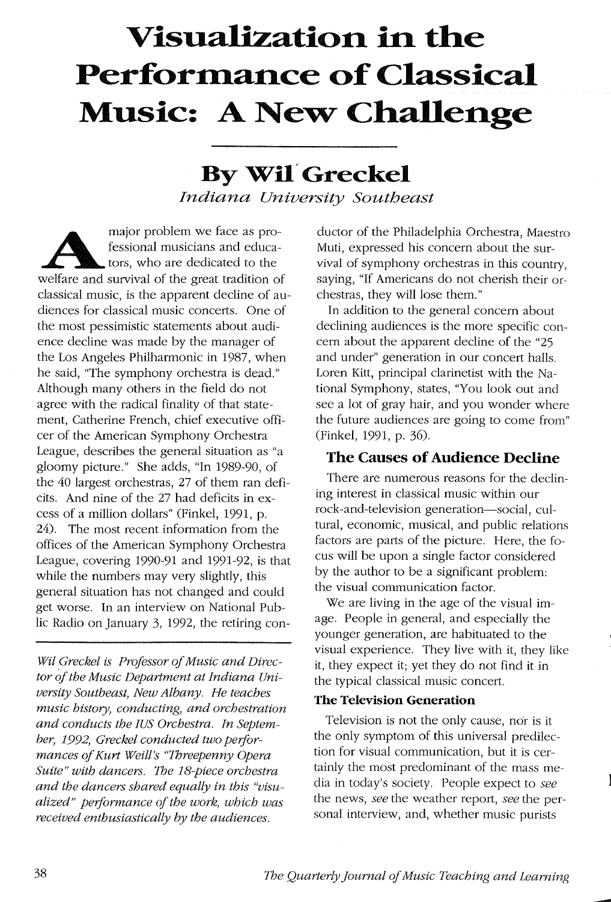# **Visualization in the Performance of Classical Music: A New Challenge**

# **By Wil Greckel** *Indiana University Southeast*

major problem we face as pro-<br>fessional musicians and educa-<br>tors, who are dedicated to the<br>welfare and survival of the great tradition of fessional musicians and educators, who are dedicated to the classical music, is the apparent decline of audiences for classical music concerts. One of the most pessimistic statements about audience decline was made by the manager of the Los Angeles Philharmonic in 1987, when he said, "The symphony orchestra is dead." Although many others in the field do not agree with the radical finality of that statement, Catherine French, chief executive officer of the American Symphony Orchestra League, describes the general situation as "a gloomy picture." She adds, "In 1989-90, of the 40 largest orchestras, 27 of them ran deficits. And nine of the 27 had deficits in excess of a million dollars" (Finkel, 1991, p. 24). The most recent information from the offices of the American Symphony Orchestra League, covering 1990-91 and 1991-92, is that while the numbers may very slightly, this general situation has not changed and could get worse. In an interview on National Public Radio on January 3, 1992, the retiring con-

*Wil Greckel* is *Professor of Music and Director of the Music Department at Indiana University Southeast, New Albany. He teaches music history, conducting, and orchestration and conducts the IUS Orchestra. In September,* 1992, *Greckel conducted two performances of Kurt Weill's "Threepenny Opera Suite" with dancers.* The *18-piece orchestra and the dancers shared equally in this "visualized" performance of the work, which was received enthusiastically by the audiences.* 

ductor of the Philadelphia Orchestra, Maestro Muti, expressed his concern about the survival of symphony orchestras in this country, saying, "If Americans do not cherish their orchestras, they will lose them."

In addition to the general concern about declining audiences is the more specific concern about the apparent decline of the "25 and under" generation in our concert halls. Loren Kitt, principal clarinetist with the National Symphony, states, "You look out and see a lot of gray hair, and you wonder where the future audiences are going to come from" (Finkel, 1991, p. 36).

# **The Causes of Audience Decline**

There are numerous reasons for the declining interest in classical music within our rock-and-television generation-social, cultural, economic, musical, and public relations factors are parts of the picture. Here, the focus will be upon a single factor considered by the author to be a significant problem: the visual communication factor.

We are living in the age of the visual image. People in general, and especially the younger generation, are habituated to the visual experience. They live with it, they like it, they expect it; yet they do not find it in the typical classical music concert.

#### **The Television Generation**

Television is not the only cause, nor is it the only symptom of this universal predilection for visual communication, but it is certainly the most predominant of the mass media in today's society. People expect to *see*  the news, *see* the weather report, *see* the personal interview, and, whether music purists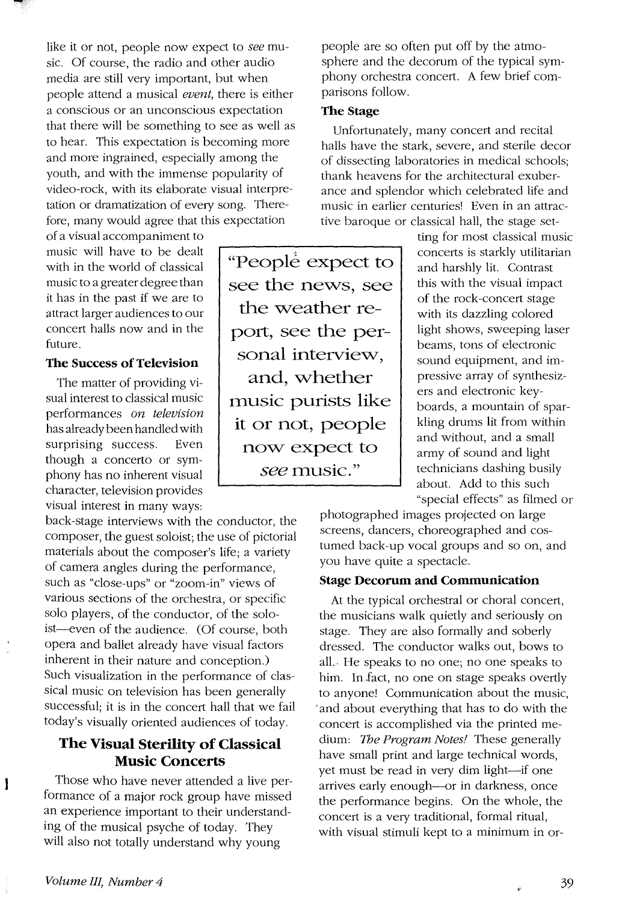like it or not, people now expect to *see* music. Of course, the radio and other audio media are still very important, but when people attend a musical *event,* there is either a conscious or an unconscious expectation that there will be something to see as well as to hear. This expectation is becoming more and more ingrained, especially among the youth, and with the immense popularity of video-rock, with its elaborate visual interpretation or dramatization of every song. Therefore, many would agree that this expectation

of a visual accompaniment to music will have to be dealt with in the world of classical music to a greater degree than it has in the past if we are to attract larger audiences to our concert halls now and in the future.

#### **The** Success **of Television**

The matter of providing visual interest to classical music performances *on television*  has already been handled with surprising success. Even though a concerto or symphony has no inherent visual character, television provides visual interest in many ways:

back-stage interviews with the conductor, the composer, the guest soloist; the use of pictorial materials about the composer's life; a variety of camera angles during the performance, such as "close-ups" or "zoom-in" views of various sections of the orchestra, or specific solo players, of the conductor, of the soloist-even of the audience. (Of course, both opera and ballet already have visual factors inherent in their nature and conception.) Such visualization in the performance of classical music on television has been generally successful; it is in the concert hall that we fail today's visually oriented audiences of today.

# **The Visual Sterility of Classical Music Concerts**

Those who have never attended a live performance of a major rock group have missed an experience important to their understanding of the musical psyche of today. They will also not totally understand why young

"People expect to see the news, see the weather report, see the personal interview, and, whether music purists like **it** or not, people now expect to *see* music."

people are so often put off by the atmosphere and the decorum of the typical symphony orchestra concert. A few brief comparisons follow.

#### The Stage

Unfortunately, many concert and recital halls have the stark, severe, and sterile decor of dissecting laboratories in medical schools; thank heavens for the architectural exuberance and splendor which celebrated life and music in earlier centuries! Even in an attractive baroque or classical hall, the stage set-

ting for most classical music concerts is starkly utilitarian and harshly lit. Contrast this with the visual impact of the rock-concert stage with its dazzling colored light shows, sweeping laser beams, tons of electronic sound equipment, and impressive array of synthesizers and electronic keyboards, a mountain of sparkling drums lit from within and without, and a small army of sound and light technicians dashing busily about. Add to this such "special effects" as filmed or

photographed images projected on large screens, dancers, choreographed and costumed back-up vocal groups and so on, and you have quite a spectacle.

#### Stage **Decorum and Communication**

At the typical orchestral or choral concert, the musicians walk quietly and seriously on stage. They are also formally and soberly dressed. The conductor walks out, bows to all.· He speaks to no one; no one speaks to him. In fact, no one on stage speaks overtly to anyone! Communication about the music, 'and about everything that has to do with the concert is accomplished via the printed medium: The *Program Notes!* These generally have small print and large technical words, yet must be read in very dim light-if one arrives early enough--or in darkness, once the performance begins. On the whole, the concert is a very traditional, formal ritual, with visual stimuli kept to a minimum in or-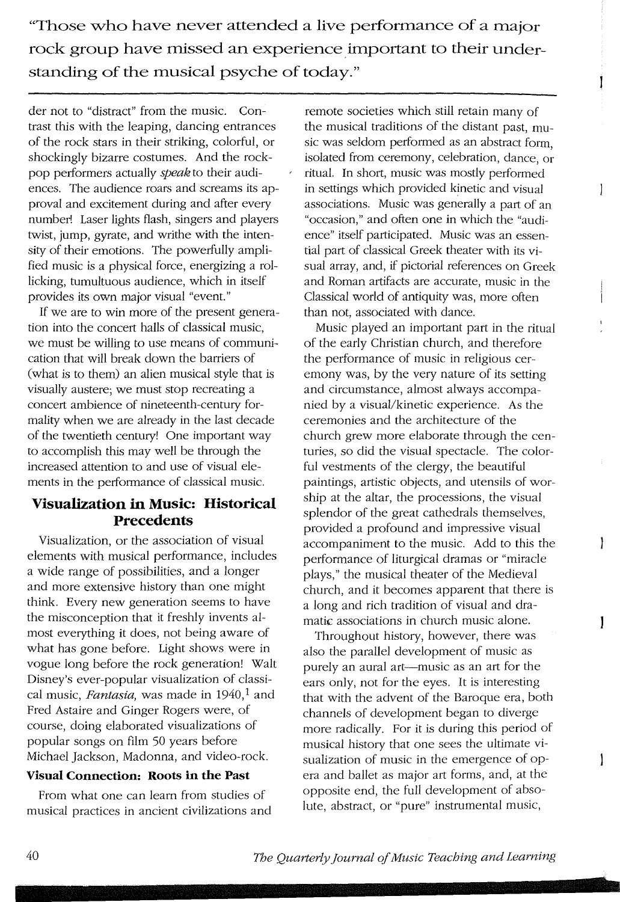**"Those who have never attended a live performance of a major rock group have missed an experience important to their understanding** of the **musical psyche** of today."

der not to "distract" from the music. Contrast this with the leaping, dancing entrances of the rock stars in their striking, colorful, or shockingly bizarre costumes. And the rockpop performers actually *speak* to their audiences. The audience roars and screams its approval and excitement during and after every number! Laser lights flash, singers and players twist, jump, gyrate, and writhe with the intensity of their emotions. The powerfully amplified music is a physical force, energizing a rollicking, tumultuous audience, which in itself provides its own major visual "event."

If we are to win more of the present generation into the concert halls of classical music, we must be willing to use means of communication that will break down the barriers of (what is to them) an alien musical style that is visually austere; we must stop recreating a concert ambience of nineteenth-century formality when we are already in the last decade of the twentieth century! One important way to accomplish this may well be through the increased attention to and use of visual elements in the performance of classical music.

# **Visualization in Music: Historical Precedents**

Visualization, or the association of visual elements with musical performance, includes a wide range of possibilities, and a longer and more extensive history than one might think. Every new generation seems to have the misconception that it freshly invents almost everything it does, not being aware of what has gone before. Light shows were in vogue long before the rock generation! Walt Disney's ever-popular visualization of classical music, *Fantasia*, was made in 1940,<sup>1</sup> and Fred Astaire and Ginger Rogers were, of course, doing elaborated visualizations of popular songs on film 50 years before Michael Jackson, Madonna, and video-rock.

#### **Visual Connection: Roots in the Past**

From what one can learn from studies of musical practices in ancient civilizations and remote societies which still retain many of the musical traditions of the distant past, music was seldom performed as an abstract form, isolated from ceremony, celebration, dance, or ritual. In short, music was mostly performed in settings which provided kinetic and visual associations. Music was generally a part of an "occasion," and often one in which the "audience" itself participated. Music was an essential part of classical Greek theater with its visual array, and, if pictorial references on Greek and Roman artifacts are accurate, music in the Classical world of antiquity was, more often than not, associated with dance.

İ

 $\mathbf{I}$ 

 $\mathbf{I}$ 

 $\mathbf{I}$ 

1

Music played an important part in the ritual of the early Christian church, and therefore the performance of music in religious ceremony was, by the very nature of its setting and circumstance, almost always accompanied by a visual/kinetic experience. As the ceremonies and the architecture of the church grew more elaborate through the centuries, so did the visual spectacle. The colorful vestments of the clergy, the beautiful paintings, artistic objects, and utensils of worship at the altar, the processions, the visual splendor of the great cathedrals themselves, provided a profound and impressive visual accompaniment to the music. Add to this the performance of liturgical dramas or "miracle plays," the musical theater of the Medieval church, and it becomes apparent that there is a long and rich tradition of visual and dramatic associations in church music alone.

Throughout history, however, there was also the parallel development of music as purely an aural art-music as an art for the ears only, not for the eyes. It is interesting that with the advent of the Baroque era, both channels of development began to diverge more radically. For it is during this period of musical history that one sees the ultimate visualization of music in the emergence of opera and ballet as major art forms, and, at the opposite end, the full development of absolute, abstract, or "pure" instrumental music,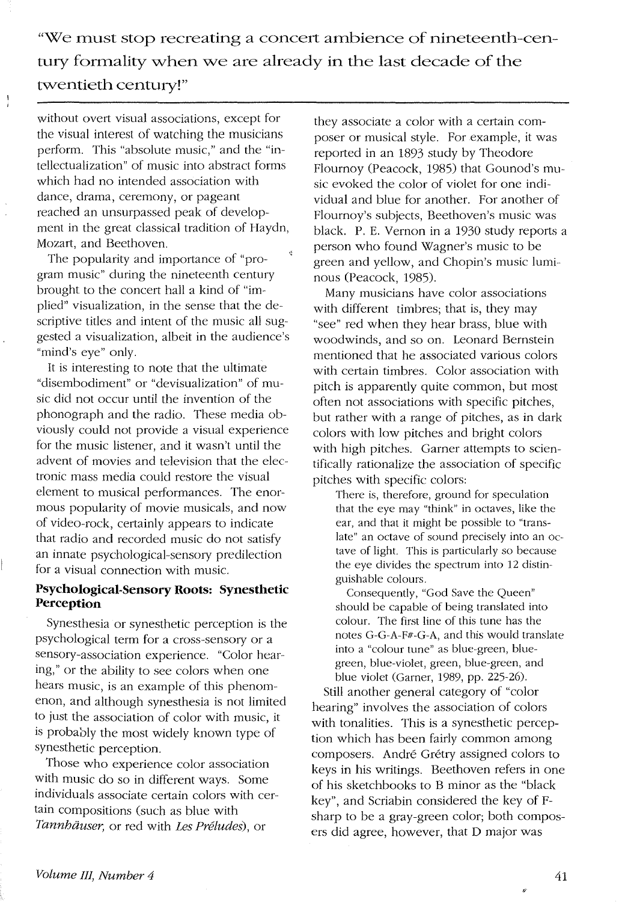"We must stop recreating a concert ambience of nineteenth-century formality when we are already **in** the last decade of the twentieth century!"

without overt visual associations, except for the visual interest of watching the musicians perform. This "absolute music," and the "intellectualization" of music into abstract forms which had no intended association with dance, drama, ceremony, or pageant reached an unsurpassed peak of development in the great classical tradition of Haydn, Mozart, and Beethoven.

 $\frac{1}{i}$ 

The popularity and importance of "program music" during the nineteenth century brought to the concert hall a kind of "implied" visualization, in the sense that the descriptive titles and intent of the music all suggested a visualization, albeit in the audience's "mind's eye" only.

It is interesting to note that the ultimate "disembodiment" or "devisualization" of music did not occur until the invention of the phonograph and the radio. These media obviously could not provide a visual experience for the music listener, and it wasn't until the advent of movies and television that the electronic mass media could restore the visual element to musical performances. The enormous popularity of movie musicals, and now of video-rock, certainly appears to indicate that radio and recorded music do not satisfy an innate psychological-sensory predilection for a visual connection with music.

#### **Psychological-Sensory Roots: Synesthetic Perception**

Synesthesia or synesthetic perception is the psychological term for a cross-sensory or a sensory-association experience. "Color hearing," or the ability to see colors when one hears music, is an example of this phenomenon, and although synesthesia is not limited to just the association of color with music, it is probably the most Widely known type of synesthetic perception.

Those who experience color association with music do so in different ways. Some individuals associate certain colors with certain compositions (such as blue with *Tannhauser,* or red with *Les Preludes),* or

they associate a color with a certain composer or musical style. For example, it was reported in an 1893 study by Theodore Flournoy (Peacock, 1985) that Gounod's music evoked the color of violet for one individual and blue for another. For another of Flournoy's subjects, Beethoven's music was black. P. E. Vernon in a 1930 study reports a person who found Wagner's music to be green and yellow, and Chopin's music luminous (Peacock, 1985).

Many musicians have color associations with different timbres; that is, they may "see" red when they hear brass, blue with woodwinds, and so on. Leonard Bernstein mentioned that he associated various colors with certain timbres. Color association with pitch is apparently quite common, but most often not associations with specific pitches, but rather with a range of pitches, as in dark colors with low pitches and bright colors with high pitches. Garner attempts to scientifically rationalize the association of specific pitches with specific colors:

There is, therefore, ground for speculation that the eye may "think" in octaves, like the ear, and that it might be possible to "translate" an octave of sound precisely into an octave of light. This is particularly so because the eye divides the spectrum into 12 distinguishable colours.

Consequently, "God Save the Queen" should be capable of being translated into colour. The first line of this tune has the notes G-G-A-F#-G-A, and this would translate into a "colour tune" as blue-green, bluegreen, blue-violet, green, blue-green, and blue violet (Garner, 1989, pp. 225-26).

Still another general category of "color hearing" involves the association of colors with tonalities. This is a synesthetic perception which has been fairly common among composers. André Grétry assigned colors to keys in his writings. Beethoven refers in one of his sketchbooks to B minor as the "black key", and Scriabin considered the key of Fsharp to be a gray-green color; both composers did agree, however, that D major was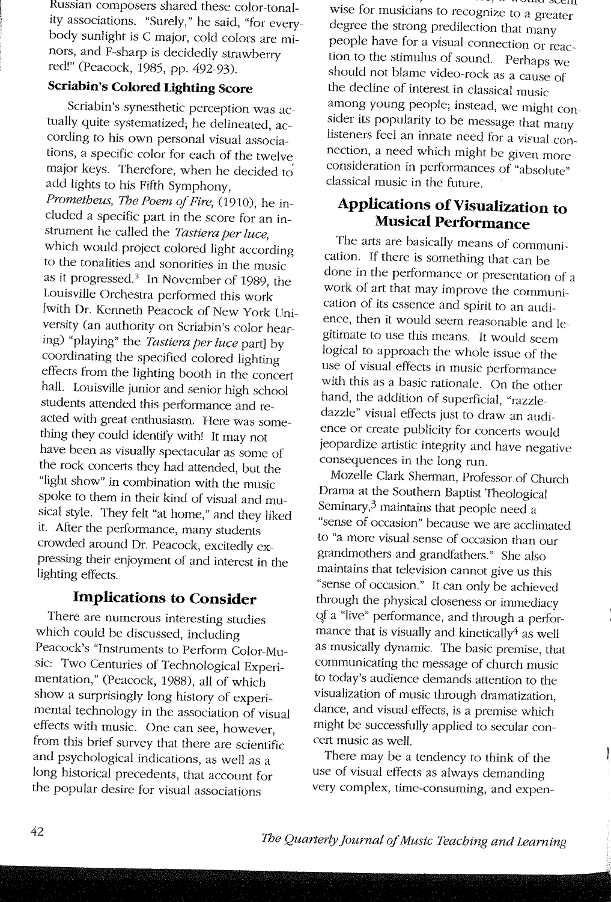Russian composers shared these color-tonality associations. "Surely," he said, "for everybody sunlight is C major, cold colors are minors, and F-sharp is decidedly strawberry red!" (Peacock, 1985, pp. 492-93).

# **Scriabin's Colored Lighting Score**

Scriabin's synesthetic perception was actually quite systematized; he delineated, according to his own personal visual associations, a specific color for each of the twelve: major keys. Therefore, when he decided to add lights to his Fifth Symphony, *Prometheus, The Poem of Fire,* (1910), he included a specific part in the score for an instrument he called the *Tastiera per luce,*  which would project colored light according to the tonalities and sonorities in the music as it progressed? In November of 1989, the Louisville Orchestra performed this work [with Dr. Kenneth Peacock of New York University (an authority on Scriabin's color hearing) "playing" the *Tastiera per luce* part] by coordinating the specified colored lighting effects from the lighting booth in the concert hall. Louisville junior and senior high school students attended this performance and reacted with great enthusiasm. Here was something they could identify with! It may not have been as visually spectacular as some of the rock concerts they had attended, but the "light show" in combination with the music spoke to them in their kind of visual and musical style. They felt "at home," and they liked it. After the performance, many students crowded around Dr. Peacock, excitedly expressing their enjoyment of and interest in the lighting effects.

# **Implications to Consider**

There are numerous interesting studies which could be discussed, including Peacock's "Instruments to Perform Color-Music: Two Centuries of Technological Experimentation," (Peacock, 1988), all of which show a surprisingly long history of experimental technology in the association of visual effects with music. One can see, however, from this brief survey that there are scientific and psychological indications, as well as a long historical precedents, that account for the popular desire for visual associations

wise for musicians to recognize to a greater degree the strong predilection that many people have for a visual connection or reaction to the stimulus of sound. Perhaps we should not blame video-rock as a cause of the decline of interest in classical music among young people; instead, we might consider its popularity to be message that many listeners feel an innate need for a visual connection, a need which might be given more consideration in performances of "absolute" classical music in the future.

# **Applications of Visualization to Musical Performance**

The arts are basically means of communication. If there is something that can be done in the performance or presentation of a work of art that may improve the communication of its essence and spirit to an audience, then it would seem reasonable and legitimate to use this means. It would seem logical to approach the whole issue of the use of visual effects in music performance with this as a basic rationale. On the other hand, the addition of superficial, "razzledazzle" visual effects just to draw an audience or create publicity for concerts would jeopardize artistic integrity and have negative consequences in the long run.

Mozelle Clark Sherman, Professor of Church Drama at the Southern Baptist Theological Seminary,3 maintains that people need a "sense of occasion" because we are acclimated to "a more visual sense of occasion than our grandmothers and grandfathers." She also maintains that television cannot give us this "sense of occasion." It can only be achieved through the physical closeness or immediacy Qf a "live" performance, and through a perfor mance that is visually and kinetically<sup>4</sup> as well as mUSically dynamic. The basic premise, that communicating the message of church music to today's audience demands attention to the visualization of music through dramatization, dance, and visual effects, is a premise which might be successfully applied to secular concert music as well.

There may be a tendency to think of the use of visual effects as always demanding very complex, time-consuming, and expen1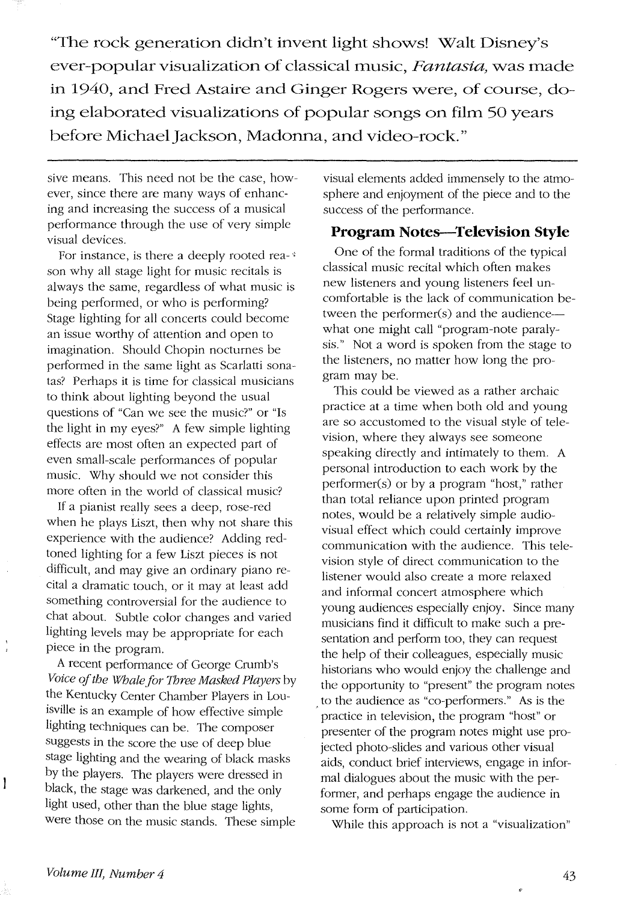"The rock generation didn't invent light shows! Walt Disney's ever-popular visualization of classical music, Fantasia, was made in 1940, and Fred Astaire and Ginger Rogers were, of course, doing elaborated visualizations of popular songs on **film** 50 years before Michael Jackson, Madonna, and video-rock."

sive means. This need not be the case, however, since there are many ways of enhancing and increasing the success of a musical performance through the use of very simple visual devices.

For instance, is there a deeply rooted rea-' son why all stage light for music recitals is always the same, regardless of what music is being performed, or who is performing? Stage lighting for all concerts could become an issue worthy of attention and open to imagination. Should Chopin nocturnes be performed in the same light as Scarlatti sonatas? Perhaps it is time for classical musicians to think about lighting beyond the usual questions of "Can we see the music?" or "Is the light in my eyes?" A few simple lighting effects are most often an expected part of even small-scale performances of popular music. Why should we not consider this more often in the world of classical music?

If a pianist really sees a deep, rose-red when he plays Liszt, then why not share this experience with the audience? Adding redtoned lighting for a few Liszt pieces is not difficult, and may give an ordinary piano recital a dramatic touch, or it may at least add something controversial for the audience to chat about. Subtle color changes and varied lighting levels may be appropriate for each piece in the program.

A recent performance of George Crumb's *Voice oj the Whale/or Three Masked Players* by the Kentucky Center Chamber Players in Louisville is an example of how effective simple lighting techniques can be. The composer suggests in the score the use of deep blue stage lighting and the wearing of black masks by the players. The players were dressed in black, the stage was darkened, and the only light used, other than the blue stage lights, were those on the music stands. These simple

visual elements added immensely to the atmosphere and enjoyment of the piece and to the success of the performance.

#### **Program Notes--Television Style**

One of the formal traditions of the typical classical music recital which often makes new listeners and young listeners feel uncomfortable is the lack of communication between the performer(s) and the audiencewhat one might call "program-note paralysis." Not a word is spoken from the stage to the listeners, no matter how long the program may be.

This could be viewed as a rather archaic practice at a time when both old and young are so accustomed to the visual style of television, where they always see someone speaking directly and intimately to them. A personal introduction to each work by the performer(s) or by a program "host," rather than total reliance upon printed program notes, would be a relatively simple audiovisual effect which could certainly improve communication with the audience. This television style of direct communication to the listener would also create a more relaxed and informal concert atmosphere which young audiences especially enjoy. Since many musicians find it difficult to make such a presentation and perform too, they can request the help of their colleagues, especially music historians who would enjoy the challenge and the opportunity to "present" the program notes to the audience as "co-perfonners." As is the practice in television, the program "host" or presenter of the program notes might use projected photo-slides and various other visual aids, conduct brief interviews, engage in informal dialogues about the music with the performer, and perhaps engage the audience in some form of participation.

While this approach is not a "visualization"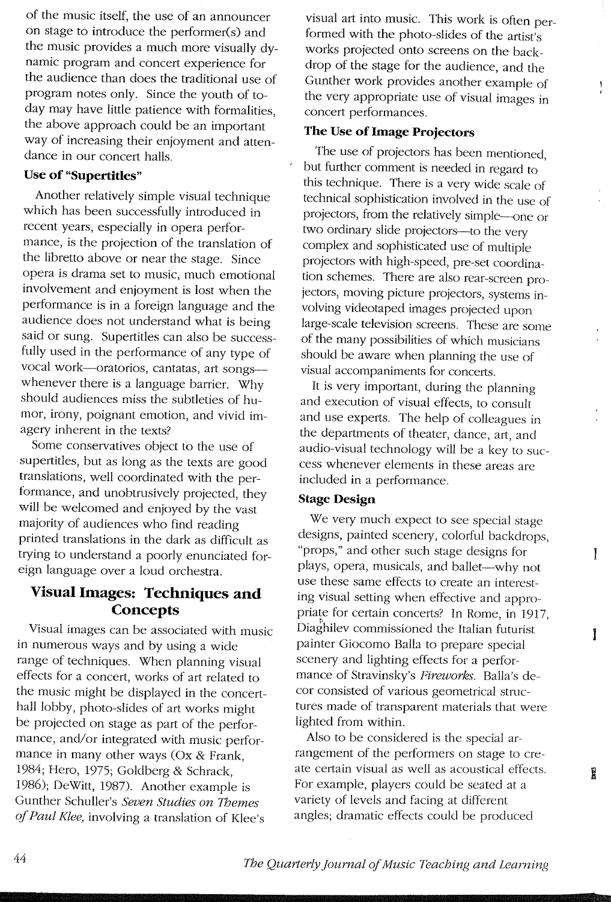of the music itself, the use of an announcer on stage to introduce the performer(s) and the music provides a much more visually dynamic program and concert experience for the audience than does the traditional use of program notes only. Since the youth of today may have little patience with formalities, the above approach could be an important way of increasing their enjoyment and attendance in our concert halls.

#### **Use of "Supertities"**

Another relatively simple visual technique which has been successfully introduced in recent years, especially in opera performance, is the projection of the translation of the libretto above or near the stage. Since opera is drama set to music, much emotional involvement and enjoyment is lost when the performance is in a foreign language and the audience does not understand what is being said or sung. Supertitles can also be successfully used in the performance of any type of vocal work-oratorios, cantatas, art songswhenever there is a language barrier. Why should audiences miss the subtleties of humor, irony, poignant emotion, and vivid imagery inherent in the texts?

Some conservatives object to the use of supertitles, but as long as the texts are good translations, well coordinated with the performance, and unobtrusively projected, they will be welcomed and enjoyed by the vast majority of audiences who find reading printed translations in the dark as difficult as trying to understand a poorly enunciated foreign language over a loud orchestra.

# **Visual Images: Techniques and Concepts**

Visual images can be associated with music in numerous ways and by using a wide range of techniques. When planning visual effects for a concert, works of art related to the music might be displayed in the concerthall lobby, photo-slides of art works might be projected on stage as part of the performance, and/or integrated with music performance in many other ways (Ox & Frank, 1984; Hero, 1975; Goldberg & Schrack, 1986); DeWitt, 1987). Another example is Gunther Schuller's *Seven Studies on Themes of Paul Klee,* involving a translation of Klee's

visual art into music. This work is often performed with the photo-slides of the artist's works projected onto screens on the backdrop of the stage for the audience, and the Gunther work provides another example of the very appropriate use of visual images in concert performances.

Ţ

 $\mathbf{I}$ 

1

Î

#### **The Use of Image Projectors**

The use of projectors has been mentioned, but further comment is needed in regard to this technique. There is a very wide scale of technical sophistication involved in the use of projectors, from the relatively simple--one or two ordinary slide projectors-to the very complex and sophisticated use of multiple projectors with high-speed, pre-set coordination schemes. There are also rear-screen projectors, moving picture projectors, systems involving videotaped images projected upon large-scale television screens. These are some of the many possibilities of which musicians should be aware when planning the use of visual accompaniments for concerts.

It is very important, during the planning and execution of visual effects, to consult and use experts. The help of colleagues in the departments of theater, dance, art, and audio-visual technology will be a key to success whenever elements in these areas are included in a performance.

#### **Stage Design**

We very much expect to see special stage designs, painted scenery, colorful backdrops, "props," and other such stage designs for plays, opera, musicals, and ballet-why not use these same effects to create an interesting visual setting when effective and appropriate for certain concerts? In Rome, in 1917, Diaghilev commissioned the Italian futurist painter Giocomo Balla to prepare special scenery and lighting effects for a performance of Stravinsky's *Fireworks.* Balla's decor consisted of various geometrical structures made of transparent materials that were lighted from within.

Also to be considered is the special arrangement of the performers on stage to create certain visual as well as acoustical effects. For example, players could be seated at a variety of levels and facing at different angles; dramatic effects could be produced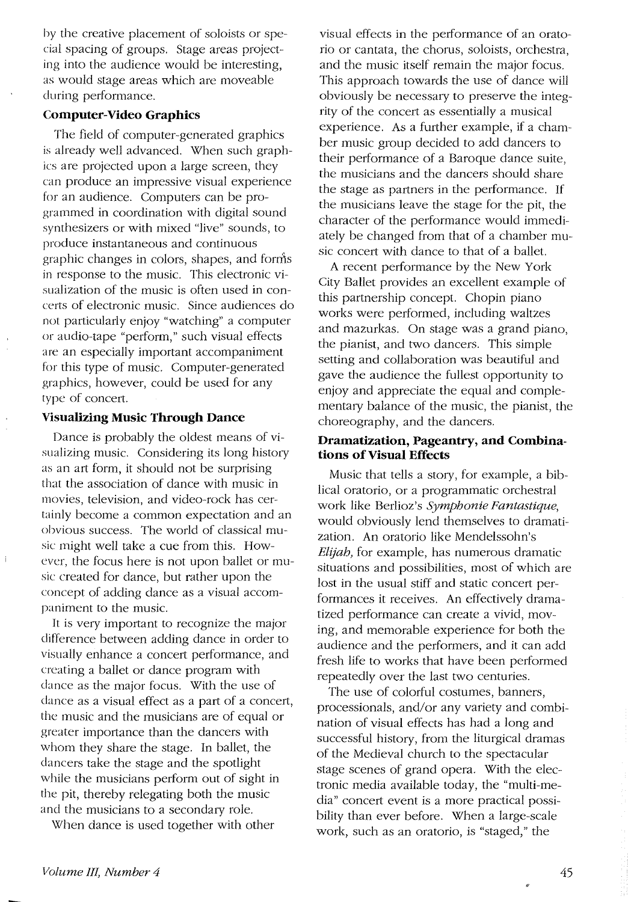by the creative placement of soloists or special spacing of groups. Stage areas projecting into the audience would be interesting, as would stage areas which are moveable during performance.

#### **Computer-Video Graphics**

The field of computer-generated graphics is already well advanced. When such graphics are projected upon a large screen, they can produce an impressive visual experience for an audience. Computers can be programmed in coordination with digital sound synthesizers or with mixed "live" sounds, to produce instantaneous and continuous " graphic changes in colors, shapes, and fonns in response to the music. This electronic visualization of the music is often used in concerts of electronic music. Since audiences do not particularly enjoy "watching" a computer or audio-tape "perform," such visual effects are an especially important accompaniment for this type of music. Computer-generated graphics, however, could be used for any type of concert.

#### **Visualizing MUSic Through Dance**

Dance is probably the oldest means of visualizing music. Considering its long history as an art form, it should not be surprising that the association of dance with music in movies, television, and video-rock has certainly become a common expectation and an obvious success. The world of classical music might well take a cue from this. However, the focus here is not upon ballet or music created for dance, but rather upon the concept of adding dance as a visual accompaniment to the music.

It is very important to recognize the major difference between adding dance in order to visually enhance a concert performance, and creating a ballet or dance program with dance as the major focus. With the use of dance as a visual effect as a part of a concert, the music and the musicians are of equal or greater importance than the dancers with whom they share the stage. In ballet, the dancers take the stage and the spotlight while the musicians perform out of sight in the pit, thereby relegating both the music and the musicians to a secondary role.

When dance is used together with other

visual effects in the performance of an oratorio or cantata, the chorus, soloists, orchestra, and the music itself remain the major focus. This approach towards the use of dance will obviously be necessary to preserve the integrity of the concert as essentially a musical experience. As a further example, if a chamber music group decided to add dancers to their performance of a Baroque dance suite, the musicians and the dancers should share the stage as partners in the performance. If the musicians leave the stage for the pit, the character of the performance would immediately be changed from that of a chamber music concert with dance to that of a ballet.

A recent performance by the New York City Ballet provides an excellent example of this partnership concept. Chopin piano works were performed, including waltzes and mazurkas. On stage was a grand piano, the pianist, and two dancers. This simple setting and collaboration was beautiful and gave the audience the fullest opportunity to enjoy and appreciate the equal and complementary balance of the music, the pianist, the choreography, and the dancers.

#### **Dramatization, Pageantry, and Combinations of Visual Effects**

Music that tells a story, for example, a biblical oratorio, or a programmatic orchestral work like Berlioz's *Symphonie Fantastique,*  would obviously lend themselves to dramatization. An oratorio like Mendelssohn's *Elijah,* for example, has numerous dramatic situations and possibilities, most of which are lost in the usual stiff and static concert performances it receives. An effectively dramatized performance can create a vivid, moving, and memorable experience for both the audience and the performers, and it can add fresh life to works that have been performed repeatedly over the last two centuries.

The use of colorful costumes, banners, processionals, and/or any variety and combination of visual effects has had a long and successful history, from the liturgical dramas of the Medieval church to the spectacular stage scenes of grand opera. With the electronic media available today, the "multi-media" concert event is a more practical possibility than ever before. When a large-scale work, such as an oratorio, is "staged," the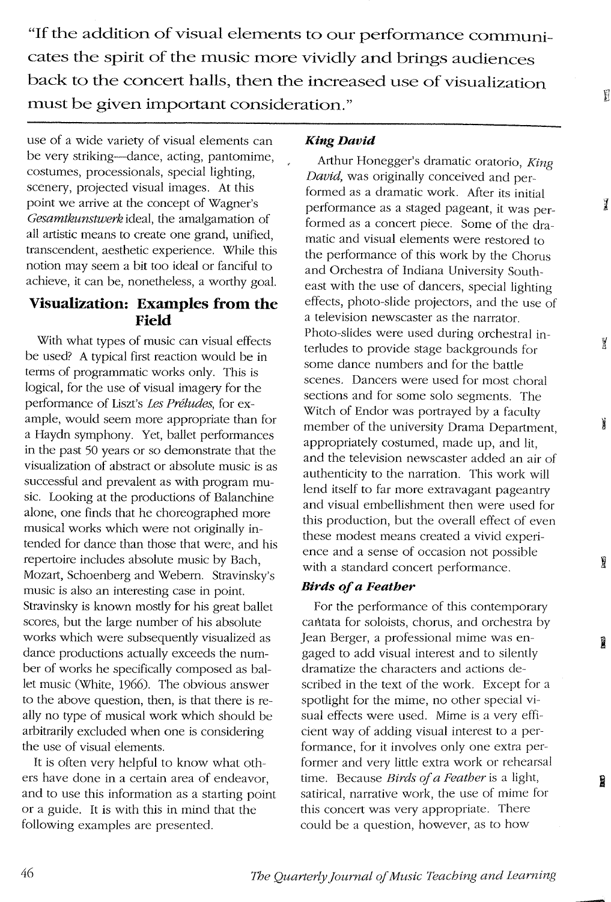**"If the addition of visual elements to our performance communicates the spirit of the music more vividly and brings audiences back to the concert halls, then the increased use of visualization must be given important consideration."** 

use of a wide variety of visual elements can be very striking-dance, acting, pantomime, costumes, processionals, special lighting, scenery, projected visual images. At this point we arrive at the concept of Wagner's *Gesamtkunstwerk* ideal, the amalgamation of all artistic means to create one grand, unified, transcendent, aesthetic experience. While this notion may seem a bit too ideal or fanciful to achieve, it can be, nonetheless, a worthy goal.

# **Visualization: Examples from the Field**

With what types of music can visual effects be used? A typical first reaction would be in terms of programmatic works only. This is logical, for the use of visual imagery for the performance of Liszt's *Les Preludes,* for example, would seem more appropriate than for a Haydn symphony. Yet, ballet performances in the past 50 years or so demonstrate that the visualization of abstract or absolute music is as successful and prevalent as with program music. Looking at the productions of Balanchine alone, one finds that he choreographed more musical works which were not originally intended for dance than those that were, and his repertoire includes absolute music by Bach, Mozart, Schoenberg and Webern. Stravinsky's music is also an interesting case in point. Stravinsky is known mostly for his great ballet scores, but the large number of his absolute works which were subsequently visualized as dance productions actually exceeds the number of works he specifically composed as ballet music (White, 1966). The obvious answer to the above question, then, is that there is really no type of musical work which should be arbitrarily excluded when one is considering the use of visual elements.

It is often very helpful to know what others have done in a certain area of endeavor, and to use this information as a starting point or a guide. It is with this in mind that the following examples are presented.

#### King David

Arthur Honegger's dramatic oratorio, *King DaVid,* was originally conceived and performed as a dramatic work. After its initial performance as a staged pageant, it was performed as a concert piece. Some of the dramatic and visual elements were restored to the performance of this work by the Chorus and Orchestra of Indiana University Southeast with the use of dancers, special lighting effects, photo-slide projectors, and the use of a television newscaster as the narrator. Photo-slides were used during orchestral interludes to provide stage backgrounds for some dance numbers and for the battle scenes. Dancers were used for most choral sections and for some solo segments. The Witch of Endor was portrayed by a faculty member of the university Drama Department, appropriately costumed, made up, and lit, and the television newscaster added an air of authenticity to the narration. This work will lend itself to far more extravagant pageantry and visual embellishment then were used for this production, but the overall effect of even these modest means created a vivid experience and a sense of occasion not possible with a standard concert performance.

 $\mathbb{I}$ 

 $\overline{1}$ 

ğ

ĭ

ÿ

R

Ĥ

### *Birds of a Feather*

For the performance of this contemporary cafitata for soloists, chorus, and orchestra by Jean Berger, a professional mime was engaged to add visual interest and to silently dramatize the characters and actions described in the text of the work. Except for a spotlight for the mime, no other special visual effects were used. Mime is a very efficient way of adding visual interest to a performance, for it involves only one extra performer and very little extra work or rehearsal time. Because *Birds of a feather* is a light, satirical, narrative work, the use of mime for this concert was very appropriate. There could be a question, however, as to how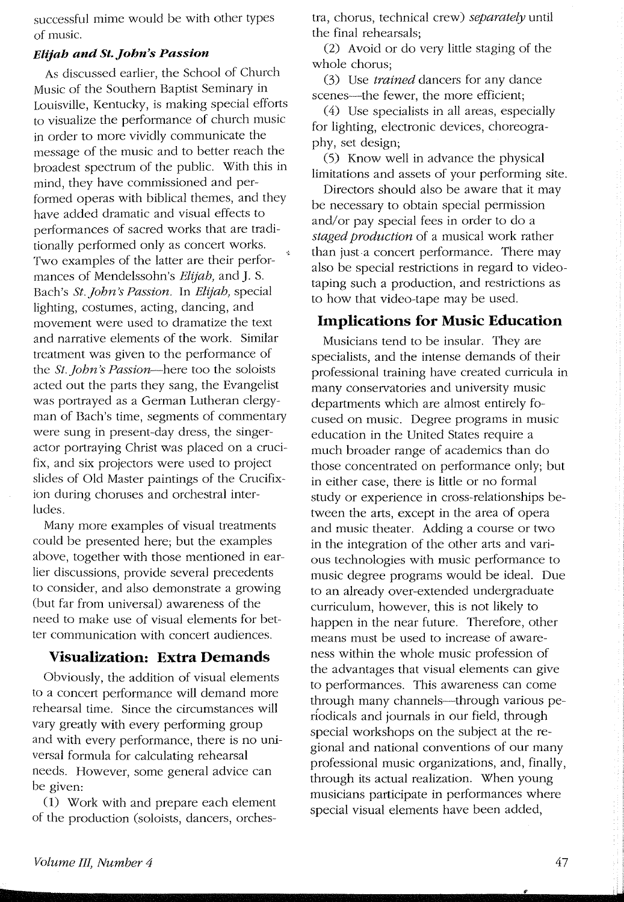successful mime would be with other types of music.

#### *Elijah and St.John's Passion*

As discussed earlier, the School of Church Music of the Southern Baptist Seminary in Louisville, Kentucky, is making special efforts to visualize the performance of church music in order to more vividly communicate the message of the music and to better reach the broadest spectrum of the public. With this in mind, they have commissioned and performed operas with biblical themes, and they have added dramatic and visual effects to performances of sacred works that are traditionally performed only as concert works. Two examples of the latter are their performances of Mendelssohn's *Elijah*, and J. S. Bach's *St. John's Passion.* In *Elijah,* special lighting, costumes, acting, dancing, and movement were used to dramatize the text and narrative elements of the work. Similar treatment was given to the performance of the *St. John's Passion-here* too the soloists acted out the parts they sang, the Evangelist was portrayed as a German Lutheran clergyman of Bach's time, segments of commentary were sung in present-day dress, the singeractor portraying Christ was placed on a crucifix, and six projectors were used to project slides of Old Master paintings of the Crucifixion during choruses and orchestral interludes.

Many more examples of visual treatments could be presented here; but the examples above, together with those mentioned in earlier discussions, provide several precedents to consider, and also demonstrate a growing (but far from universal) awareness of the need to make use of visual elements for better communication with concert audiences.

#### **Visualization: Extra Demands**

Obviously, the addition of visual elements to a concert performance will demand more rehearsal time. Since the circumstances will vary greatly with every performing group and with every performance, there is no universal formula for calculating rehearsal needs. However, some general advice can be given:

(1) Work with and prepare each element of the production (soloists, dancers, orchestra, chorus, technical crew) *separately* until the final rehearsals;

 $(2)$  Avoid or do very little staging of the whole chorus;

(3) Use *trained* dancers for any dance scenes-the fewer, the more efficient;

(4) Use specialists in all areas, especially for lighting, electronic devices, choreography, set design;

(5) Know well in advance the physical limitations and assets of your performing site.

Directors should also be aware that it may be necessary to obtain special permission and/or pay special fees in order to do a *staged production* of a musical work rather than just a concert performance. There may also be special restrictions in regard to videotaping such a production, and restrictions as to how that video-tape may be used.

#### **Implications for Music Education**

Musicians tend to be insular. They are specialists, and the intense demands of their professional training have created curricula in many conservatories and university music departments which are almost entirely focused on music. Degree programs in music education in the United States require a much broader range of academics than do those concentrated on performance only; but in either case, there is little or no formal study or experience in cross-relationships between the arts, except in the area of opera and music theater. Adding a course or two in the integration of the other arts and various technologies with music performance to music degree programs would be ideal. Due to an already over-extended undergraduate curriculum, however, this is not likely to happen in the near future. Therefore, other means must be used to increase of awareness within the whole music profession of the advantages that visual elements can give to performances. This awareness can come through many channels-through various periodicals and journals in our field, through special workshops on the subject at the regional and national conventions of our many professional music organizations, and, finally, through its actual realization. When young musicians participate in performances where special visual elements have been added,